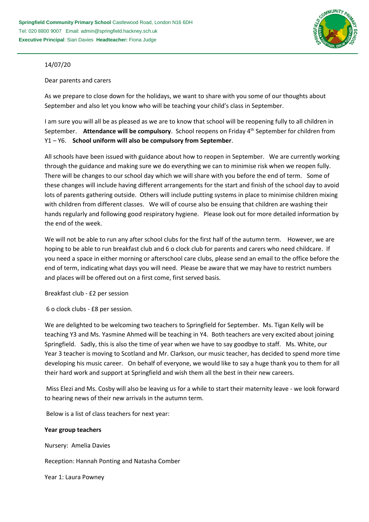

## 14/07/20

## Dear parents and carers

As we prepare to close down for the holidays, we want to share with you some of our thoughts about September and also let you know who will be teaching your child's class in September.

I am sure you will all be as pleased as we are to know that school will be reopening fully to all children in September. **Attendance will be compulsory**. School reopens on Friday 4th September for children from Y1 – Y6. **School uniform will also be compulsory from September**.

All schools have been issued with guidance about how to reopen in September. We are currently working through the guidance and making sure we do everything we can to minimise risk when we reopen fully. There will be changes to our school day which we will share with you before the end of term. Some of these changes will include having different arrangements for the start and finish of the school day to avoid lots of parents gathering outside. Others will include putting systems in place to minimise children mixing with children from different classes. We will of course also be ensuing that children are washing their hands regularly and following good respiratory hygiene. Please look out for more detailed information by the end of the week.

We will not be able to run any after school clubs for the first half of the autumn term. However, we are hoping to be able to run breakfast club and 6 o clock club for parents and carers who need childcare. If you need a space in either morning or afterschool care clubs, please send an email to the office before the end of term, indicating what days you will need. Please be aware that we may have to restrict numbers and places will be offered out on a first come, first served basis.

Breakfast club - £2 per session

6 o clock clubs - £8 per session.

We are delighted to be welcoming two teachers to Springfield for September. Ms. Tigan Kelly will be teaching Y3 and Ms. Yasmine Ahmed will be teaching in Y4. Both teachers are very excited about joining Springfield. Sadly, this is also the time of year when we have to say goodbye to staff. Ms. White, our Year 3 teacher is moving to Scotland and Mr. Clarkson, our music teacher, has decided to spend more time developing his music career. On behalf of everyone, we would like to say a huge thank you to them for all their hard work and support at Springfield and wish them all the best in their new careers.

Miss Elezi and Ms. Cosby will also be leaving us for a while to start their maternity leave - we look forward to hearing news of their new arrivals in the autumn term.

Below is a list of class teachers for next year:

**Year group teachers**

Nursery: Amelia Davies

Reception: Hannah Ponting and Natasha Comber

Year 1: Laura Powney